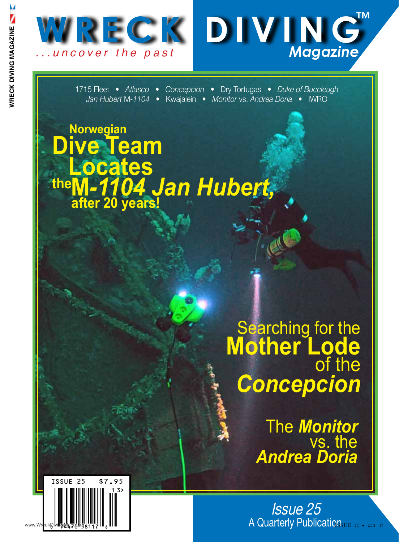



1715 Fleet • *Atlasco* • *Concepcion* • Dry Tortugas • *Duke of Buccleugh Jan Hubert* M*-1104* • Kwajalein • *Monitor* vs. *Andrea Doria* • IWRO

## **Norwegian Dive Team Locates M***-1104 Jan Hubert,* **the after 20 years!**

## Searching for the **Mother Lode** of the *Concepcion*

The *Monitor* vs. the *Andrea Doria*

Issue 25 www.wreckpildiguideness of a strategy publications.ur as a strategy of the company of the company of the company of the company of the company of the company of the company of the company of the company of the company of t

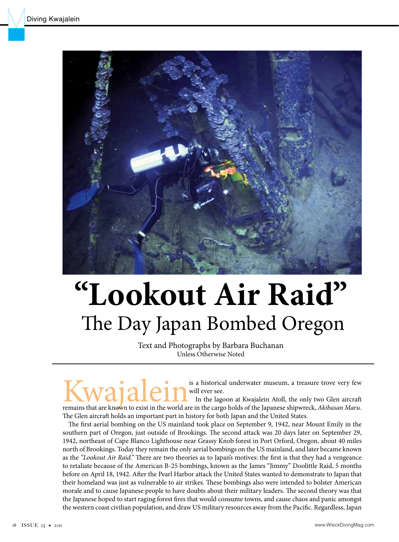

# **"Lookout Air Raid"** The Day Japan Bombed Oregon

Text and Photographs by Barbara Buchanan Unless Otherwise Noted

**KWAJALEIN** is a historical underwater museum, a treasure trove very few will ever see. In the lagoon at Kwajalein Atoll, the only two Glen aircraft remains that are known to exist in the world are in the cargo holds of th will ever see. In the lagoon at Kwajalein Atoll, the only two Glen aircraft

The Glen aircraft holds an important part in history for both Japan and the United States. The first aerial bombing on the US mainland took place on September 9, 1942, near Mount Emily in the southern part of Oregon, just outside of Brookings. The second attack was 20 days later on September 29, 1942, northeast of Cape Blanco Lighthouse near Grassy Knob forest in Port Orford, Oregon, about 40 miles north of Brookings. Today they remain the only aerial bombings on the US mainland, and later became known as the *"Lookout Air Raid."* There are two theories as to Japan's motives: the first is that they had a vengeance to retaliate because of the American B-25 bombings, known as the James "Jimmy" Doolittle Raid, 5 months before on April 18, 1942. After the Pearl Harbor attack the United States wanted to demonstrate to Japan that their homeland was just as vulnerable to air strikes. These bombings also were intended to bolster American morale and to cause Japanese people to have doubts about their military leaders. The second theory was that the Japanese hoped to start raging forest fires that would consume towns, and cause chaos and panic amongst the western coast civilian population, and draw US military resources away from the Pacific. Regardless, Japan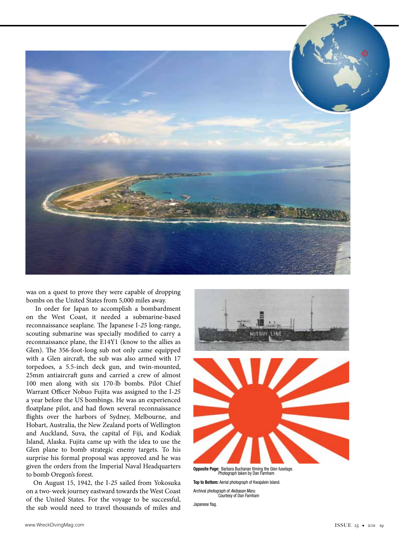

was on a quest to prove they were capable of dropping bombs on the United States from 5,000 miles away.

 In order for Japan to accomplish a bombardment on the West Coast, it needed a submarine-based reconnaissance seaplane. The Japanese I-*25* long-range, scouting submarine was specially modified to carry a reconnaissance plane, the E14Y1 (know to the allies as Glen). The 356-foot-long sub not only came equipped with a Glen aircraft, the sub was also armed with 17 torpedoes, a 5.5-inch deck gun, and twin-mounted, 25mm antiaircraft guns and carried a crew of almost 100 men along with six 170-lb bombs. Pilot Chief Warrant Officer Nobuo Fujita was assigned to the I-*25* a year before the US bombings. He was an experienced floatplane pilot, and had flown several reconnaissance flights over the harbors of Sydney, Melbourne, and Hobart, Australia, the New Zealand ports of Wellington and Auckland, Suva, the capital of Fiji, and Kodiak Island, Alaska. Fujita came up with the idea to use the Glen plane to bomb strategic enemy targets. To his surprise his formal proposal was approved and he was given the orders from the Imperial Naval Headquarters to bomb Oregon's forest.

 On August 15, 1942, the I-*25* sailed from Yokosuka on a two-week journey eastward towards the West Coast of the United States. For the voyage to be successful, the sub would need to travel thousands of miles and



**Opposite Page:** Barbara Buchanan filming the Glen fuselage. Photograph taken by Dan Farnham

**Top to Bottom:** Aerial photograph of Kwajalein Island. Archival photograph of *Akibasan Maru*. Courtesy of Dan Farnham

Japanese flag.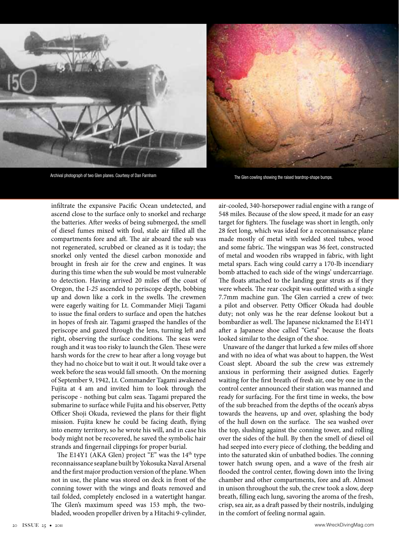



Archival photograph of two Glen planes. Courtesy of Dan Farnham The Glen cowling showing the raised teardrop-shape bumps.

infiltrate the expansive Pacific Ocean undetected, and ascend close to the surface only to snorkel and recharge the batteries. After weeks of being submerged, the smell of diesel fumes mixed with foul, stale air filled all the compartments fore and aft. The air aboard the sub was not regenerated, scrubbed or cleaned as it is today; the snorkel only vented the diesel carbon monoxide and brought in fresh air for the crew and engines. It was during this time when the sub would be most vulnerable to detection. Having arrived 20 miles off the coast of Oregon, the I-*25* ascended to periscope depth, bobbing up and down like a cork in the swells. The crewmen were eagerly waiting for Lt. Commander Mieji Tagami to issue the final orders to surface and open the hatches in hopes of fresh air. Tagami grasped the handles of the periscope and gazed through the lens, turning left and right, observing the surface conditions. The seas were rough and it was too risky to launch the Glen. These were harsh words for the crew to hear after a long voyage but they had no choice but to wait it out. It would take over a week before the seas would fall smooth. On the morning of September 9, 1942, Lt. Commander Tagami awakened Fujita at 4 am and invited him to look through the periscope - nothing but calm seas. Tagami prepared the submarine to surface while Fujita and his observer, Petty Officer Shoji Okuda, reviewed the plans for their flight mission. Fujita knew he could be facing death, flying into enemy territory, so he wrote his will, and in case his body might not be recovered, he saved the symbolic hair strands and fingernail clippings for proper burial.

The E14Y1 (AKA Glen) project "E" was the 14<sup>th</sup> type reconnaissance seaplane built by Yokosuka Naval Arsenal and the first major production version of the plane. When not in use, the plane was stored on deck in front of the conning tower with the wings and floats removed and tail folded, completely enclosed in a watertight hangar. The Glen's maximum speed was 153 mph, the twobladed, wooden propeller driven by a Hitachi 9-cylinder,

air-cooled, 340-horsepower radial engine with a range of 548 miles. Because of the slow speed, it made for an easy target for fighters. The fuselage was short in length, only 28 feet long, which was ideal for a reconnaissance plane made mostly of metal with welded steel tubes, wood and some fabric. The wingspan was 36 feet, constructed of metal and wooden ribs wrapped in fabric, with light metal spars. Each wing could carry a 170-lb incendiary bomb attached to each side of the wings' undercarriage. The floats attached to the landing gear struts as if they were wheels. The rear cockpit was outfitted with a single 7.7mm machine gun. The Glen carried a crew of two: a pilot and observer. Petty Officer Okuda had double duty; not only was he the rear defense lookout but a bombardier as well. The Japanese nicknamed the E14Y1 after a Japanese shoe called "Geta" because the floats looked similar to the design of the shoe.

 Unaware of the danger that lurked a few miles off shore and with no idea of what was about to happen, the West Coast slept. Aboard the sub the crew was extremely anxious in performing their assigned duties. Eagerly waiting for the first breath of fresh air, one by one in the control center announced their station was manned and ready for surfacing. For the first time in weeks, the bow of the sub breached from the depths of the ocean's abyss towards the heavens, up and over, splashing the body of the hull down on the surface. The sea washed over the top, slushing against the conning tower, and rolling over the sides of the hull. By then the smell of diesel oil had seeped into every piece of clothing, the bedding and into the saturated skin of unbathed bodies. The conning tower hatch swung open, and a wave of the fresh air flooded the control center, flowing down into the living chamber and other compartments, fore and aft. Almost in unison throughout the sub, the crew took a slow, deep breath, filling each lung, savoring the aroma of the fresh, crisp, sea air, as a draft passed by their nostrils, indulging in the comfort of feeling normal again.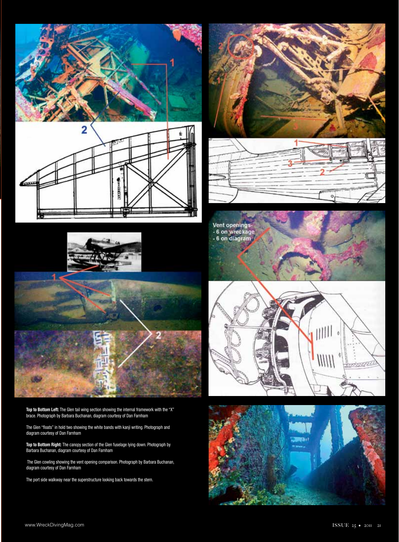







**Top to Bottom Left:** The Glen tail wing section showing the internal framework with the "X" brace. Photograph by Barbara Buchanan, diagram courtesy of Dan Farnham

The Glen "floats" in hold two showing the white bands with kanji writing. Photograph and diagram courtesy of Dan Farnham

**Top to Bottom Right:** The canopy section of the Glen fuselage lying down. Photograph by Barbara Buchanan, diagram courtesy of Dan Farnham

 The Glen cowling showing the vent opening comparison. Photograph by Barbara Buchanan, diagram courtesy of Dan Farnham

The port side walkway near the superstructure looking back towards the stern.





Vent openings<br>- 6 on wreckage<br>- 6 on diagram



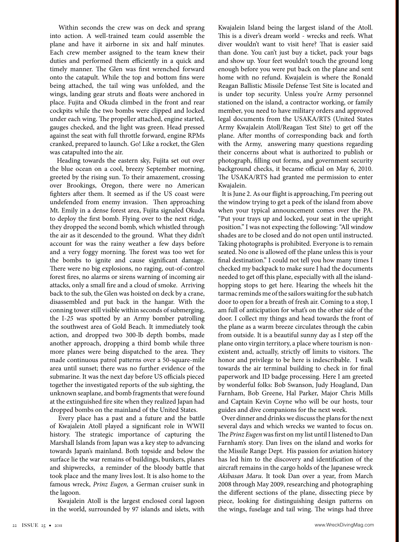Within seconds the crew was on deck and sprang into action. A well-trained team could assemble the plane and have it airborne in six and half minutes. Each crew member assigned to the team knew their duties and performed them efficiently in a quick and timely manner. The Glen was first wrenched forward onto the catapult. While the top and bottom fins were being attached, the tail wing was unfolded, and the wings, landing gear struts and floats were anchored in place. Fujita and Okuda climbed in the front and rear cockpits while the two bombs were clipped and locked under each wing. The propeller attached, engine started, gauges checked, and the light was green. Head pressed against the seat with full throttle forward, engine RPMs cranked, prepared to launch. Go! Like a rocket, the Glen was catapulted into the air.

 Heading towards the eastern sky, Fujita set out over the blue ocean on a cool, breezy September morning, greeted by the rising sun. To their amazement, crossing over Brookings, Oregon, there were no American fighters after them. It seemed as if the US coast were undefended from enemy invasion. Then approaching Mt. Emily in a dense forest area, Fujita signaled Okuda to deploy the first bomb. Flying over to the next ridge, they dropped the second bomb, which whistled through the air as it descended to the ground. What they didn't account for was the rainy weather a few days before and a very foggy morning. The forest was too wet for the bombs to ignite and cause significant damage. There were no big explosions, no raging, out-of-control forest fires, no alarms or sirens warning of incoming air attacks, only a small fire and a cloud of smoke. Arriving back to the sub, the Glen was hoisted on deck by a crane, disassembled and put back in the hangar. With the conning tower still visible within seconds of submerging, the I-*25* was spotted by an Army bomber patrolling the southwest area of Gold Beach. It immediately took action, and dropped two 300-lb depth bombs, made another approach, dropping a third bomb while three more planes were being dispatched to the area. They made continuous patrol patterns over a 50-square-mile area until sunset; there was no further evidence of the submarine. It was the next day before US officials pieced together the investigated reports of the sub sighting, the unknown seaplane, and bomb fragments that were found at the extinguished fire site when they realized Japan had dropped bombs on the mainland of the United States.

 Every place has a past and a future and the battle of Kwajalein Atoll played a significant role in WWII history. The strategic importance of capturing the Marshall Islands from Japan was a key step to advancing towards Japan's mainland. Both topside and below the surface lie the war remains of buildings, bunkers, planes and shipwrecks, a reminder of the bloody battle that took place and the many lives lost. It is also home to the famous wreck, *Prinz Eugen,* a German cruiser sunk in the lagoon.

 Kwajalein Atoll is the largest enclosed coral lagoon in the world, surrounded by 97 islands and islets, with

Kwajalein Island being the largest island of the Atoll. This is a diver's dream world - wrecks and reefs. What diver wouldn't want to visit here? That is easier said than done. You can't just buy a ticket, pack your bags and show up. Your feet wouldn't touch the ground long enough before you were put back on the plane and sent home with no refund. Kwajalein is where the Ronald Reagan Ballistic Missile Defense Test Site is located and is under top security. Unless you're Army personnel stationed on the island, a contractor working, or family member, you need to have military orders and approved legal documents from the USAKA/RTS (United States Army Kwajalein Atoll/Reagan Test Site) to get off the plane. After months of corresponding back and forth with the Army, answering many questions regarding their concerns about what is authorized to publish or photograph, filling out forms, and government security background checks, it became official on May 6, 2010. The USAKA/RTS had granted me permission to enter Kwajalein.

 It is June 2. As our flight is approaching, I'm peering out the window trying to get a peek of the island from above when your typical announcement comes over the PA. "Put your trays up and locked, your seat in the upright position." I was not expecting the following: "All window shades are to be closed and do not open until instructed. Taking photographs is prohibited. Everyone is to remain seated. No one is allowed off the plane unless this is your final destination." I could not tell you how many times I checked my backpack to make sure I had the documents needed to get off this plane, especially with all the islandhopping stops to get here. Hearing the wheels hit the tarmac reminds me of the sailors waiting for the sub hatch door to open for a breath of fresh air. Coming to a stop, I am full of anticipation for what's on the other side of the door. I collect my things and head towards the front of the plane as a warm breeze circulates through the cabin from outside. It is a beautiful sunny day as I step off the plane onto virgin territory, a place where tourism is nonexistent and, actually, strictly off limits to visitors. The honor and privilege to be here is indescribable. I walk towards the air terminal building to check in for final paperwork and ID badge processing. Here I am greeted by wonderful folks: Bob Swanson, Judy Hoagland, Dan Farnham, Bob Greene, Hal Parker, Major Chris Mills and Captain Kevin Coyne who will be our hosts, tour guides and dive companions for the next week.

 Over dinner and drinks we discuss the plans for the next several days and which wrecks we wanted to focus on. The *Prinz Eugen* was first on my list until I listened to Dan Farnham's story. Dan lives on the island and works for the Missile Range Dept. His passion for aviation history has led him to the discovery and identification of the aircraft remains in the cargo holds of the Japanese wreck *Akibasan Maru*. It took Dan over a year, from March 2008 through May 2009, researching and photographing the different sections of the plane, dissecting piece by piece, looking for distinguishing design patterns on the wings, fuselage and tail wing. The wings had three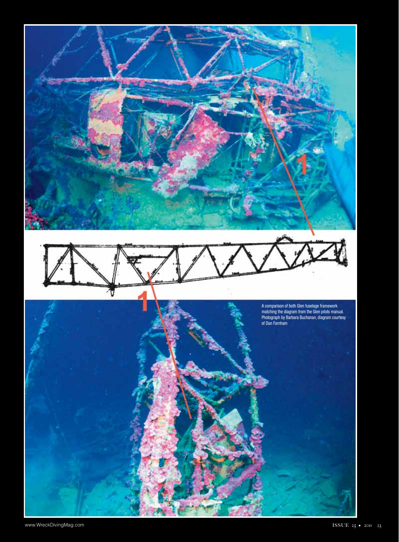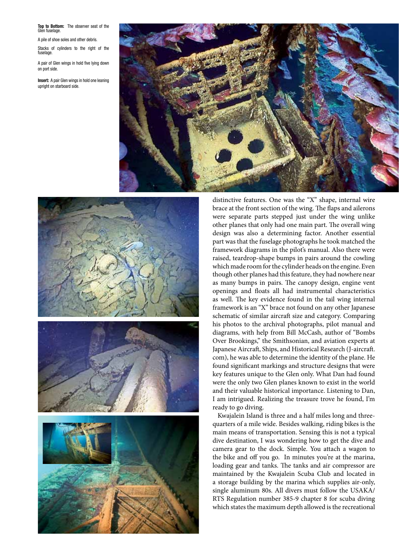#### **Top to Bottom:** The observer seat of the Glen fuselage.

A pile of shoe soles and other debris.

Stacks of cylinders to the right of the fuselage.

A pair of Glen wings in hold five lying down on port side.

**Insert:** A pair Glen wings in hold one leaning upright on starboard side.





distinctive features. One was the "X" shape, internal wire brace at the front section of the wing. The flaps and ailerons were separate parts stepped just under the wing unlike other planes that only had one main part. The overall wing design was also a determining factor. Another essential part was that the fuselage photographs he took matched the framework diagrams in the pilot's manual. Also there were raised, teardrop-shape bumps in pairs around the cowling which made room for the cylinder heads on the engine. Even though other planes had this feature, they had nowhere near as many bumps in pairs. The canopy design, engine vent openings and floats all had instrumental characteristics as well. The key evidence found in the tail wing internal framework is an "X" brace not found on any other Japanese schematic of similar aircraft size and category. Comparing his photos to the archival photographs, pilot manual and diagrams, with help from Bill McCash, author of "Bombs Over Brookings," the Smithsonian, and aviation experts at Japanese Aircraft, Ships, and Historical Research (J-aircraft. com), he was able to determine the identity of the plane. He found significant markings and structure designs that were key features unique to the Glen only. What Dan had found were the only two Glen planes known to exist in the world and their valuable historical importance. Listening to Dan, I am intrigued. Realizing the treasure trove he found, I'm ready to go diving.

 Kwajalein Island is three and a half miles long and threequarters of a mile wide. Besides walking, riding bikes is the main means of transportation. Sensing this is not a typical dive destination, I was wondering how to get the dive and camera gear to the dock. Simple. You attach a wagon to the bike and off you go. In minutes you're at the marina, loading gear and tanks. The tanks and air compressor are maintained by the Kwajalein Scuba Club and located in a storage building by the marina which supplies air-only, single aluminum 80s. All divers must follow the USAKA/ RTS Regulation number 385-9 chapter 8 for scuba diving which states the maximum depth allowed is the recreational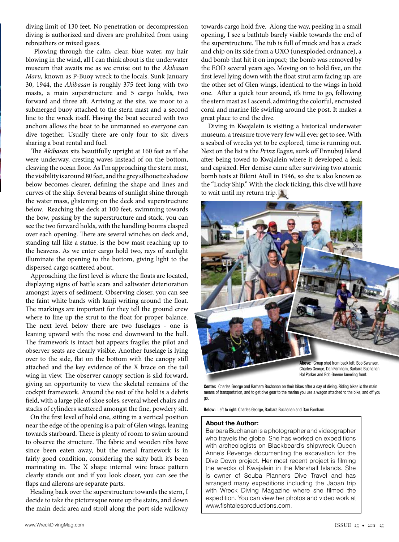diving limit of 130 feet. No penetration or decompression diving is authorized and divers are prohibited from using rebreathers or mixed gases.

 Plowing through the calm, clear, blue water, my hair blowing in the wind, all I can think about is the underwater museum that awaits me as we cruise out to the *Akibasan Maru,* known as P-Buoy wreck to the locals. Sunk January 30, 1944, the *Akibasan* is roughly 375 feet long with two masts, a main superstructure and 5 cargo holds, two forward and three aft. Arriving at the site, we moor to a submerged buoy attached to the stern mast and a second line to the wreck itself. Having the boat secured with two anchors allows the boat to be unmanned so everyone can dive together. Usually there are only four to six divers sharing a boat rental and fuel.

 The *Akibasan* sits beautifully upright at 160 feet as if she were underway, cresting waves instead of on the bottom, cleaving the ocean floor. As I'm approaching the stern mast, the visibility is around 80 feet, and the grey silhouette shadow below becomes clearer, defining the shape and lines and curves of the ship. Several beams of sunlight shine through the water mass, glistening on the deck and superstructure below. Reaching the deck at 100 feet, swimming towards the bow, passing by the superstructure and stack, you can see the two forward holds, with the handling booms clasped over each opening. There are several winches on deck and, standing tall like a statue, is the bow mast reaching up to the heavens. As we enter cargo hold two, rays of sunlight illuminate the opening to the bottom, giving light to the dispersed cargo scattered about.

 Approaching the first level is where the floats are located, displaying signs of battle scars and saltwater deterioration amongst layers of sediment. Observing closer, you can see the faint white bands with kanji writing around the float. The markings are important for they tell the ground crew where to line up the strut to the float for proper balance. The next level below there are two fuselages - one is leaning upward with the nose end downward to the hull. The framework is intact but appears fragile; the pilot and observer seats are clearly visible. Another fuselage is lying over to the side, flat on the bottom with the canopy still attached and the key evidence of the X brace on the tail wing in view. The observer canopy section is slid forward, giving an opportunity to view the skeletal remains of the cockpit framework. Around the rest of the hold is a debris field, with a large pile of shoe soles, several wheel chairs and stacks of cylinders scattered amongst the fine, powdery silt.

 On the first level of hold one, sitting in a vertical position near the edge of the opening is a pair of Glen wings, leaning towards starboard. There is plenty of room to swim around to observe the structure. The fabric and wooden ribs have since been eaten away, but the metal framework is in fairly good condition, considering the salty bath it's been marinating in. The X shape internal wire brace pattern clearly stands out and if you look closer, you can see the flaps and ailerons are separate parts.

 Heading back over the superstructure towards the stern, I decide to take the picturesque route up the stairs, and down the main deck area and stroll along the port side walkway towards cargo hold five. Along the way, peeking in a small opening, I see a bathtub barely visible towards the end of the superstructure. The tub is full of muck and has a crack and chip on its side from a UXO (unexploded ordnance), a dud bomb that hit it on impact; the bomb was removed by the EOD several years ago. Moving on to hold five, on the first level lying down with the float strut arm facing up, are the other set of Glen wings, identical to the wings in hold one. After a quick tour around, it's time to go, following the stern mast as I ascend, admiring the colorful, encrusted coral and marine life swirling around the post. It makes a great place to end the dive.

 Diving in Kwajalein is visiting a historical underwater museum, a treasure trove very few will ever get to see. With a seabed of wrecks yet to be explored, time is running out. Next on the list is the *Prinz Eugen*, sunk off Ennubuj Island after being towed to Kwajalein where it developed a leak and capsized. Her demise came after surviving two atomic bomb tests at Bikini Atoll in 1946, so she is also known as the "Lucky Ship." With the clock ticking, this dive will have to wait until my return trip.



**Center:** Charles George and Barbara Buchanan on their bikes after a day of diving. Riding bikes is the main means of transportation, and to get dive gear to the marina you use a wagon attached to the bike, and off you

**Below:** Left to right: Charles George, Barbara Buchanan and Dan Farnham.

#### **About the Author:**

go.

Barbara Buchanan is a photographer and videographer who travels the globe. She has worked on expeditions with archeologists on Blackbeard's shipwreck Queen Anne's Revenge documenting the excavation for the Dive Down project. Her most recent project is filming the wrecks of Kwajalein in the Marshall Islands. She is owner of Scuba Planners Dive Travel and has arranged many expeditions including the Japan trip with Wreck Diving Magazine where she filmed the expedition. You can view her photos and video work at www.fishtalesproductions.com.